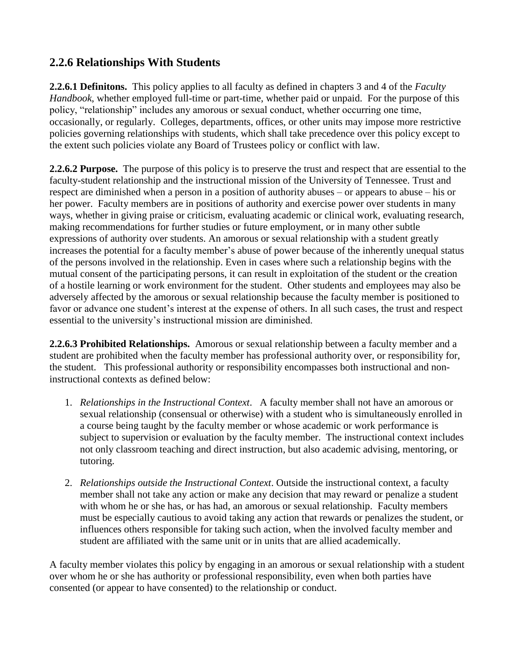## **2.2.6 Relationships With Students**

**2.2.6.1 Definitons.** This policy applies to all faculty as defined in chapters 3 and 4 of the *Faculty Handbook*, whether employed full-time or part-time, whether paid or unpaid. For the purpose of this policy, "relationship" includes any amorous or sexual conduct, whether occurring one time, occasionally, or regularly. Colleges, departments, offices, or other units may impose more restrictive policies governing relationships with students, which shall take precedence over this policy except to the extent such policies violate any Board of Trustees policy or conflict with law.

**2.2.6.2 Purpose.** The purpose of this policy is to preserve the trust and respect that are essential to the faculty-student relationship and the instructional mission of the University of Tennessee. Trust and respect are diminished when a person in a position of authority abuses – or appears to abuse – his or her power. Faculty members are in positions of authority and exercise power over students in many ways, whether in giving praise or criticism, evaluating academic or clinical work, evaluating research, making recommendations for further studies or future employment, or in many other subtle expressions of authority over students. An amorous or sexual relationship with a student greatly increases the potential for a faculty member's abuse of power because of the inherently unequal status of the persons involved in the relationship. Even in cases where such a relationship begins with the mutual consent of the participating persons, it can result in exploitation of the student or the creation of a hostile learning or work environment for the student. Other students and employees may also be adversely affected by the amorous or sexual relationship because the faculty member is positioned to favor or advance one student's interest at the expense of others. In all such cases, the trust and respect essential to the university's instructional mission are diminished.

**2.2.6.3 Prohibited Relationships.** Amorous or sexual relationship between a faculty member and a student are prohibited when the faculty member has professional authority over, or responsibility for, the student. This professional authority or responsibility encompasses both instructional and noninstructional contexts as defined below:

- 1. *Relationships in the Instructional Context*. A faculty member shall not have an amorous or sexual relationship (consensual or otherwise) with a student who is simultaneously enrolled in a course being taught by the faculty member or whose academic or work performance is subject to supervision or evaluation by the faculty member. The instructional context includes not only classroom teaching and direct instruction, but also academic advising, mentoring, or tutoring.
- 2. *Relationships outside the Instructional Context*. Outside the instructional context, a faculty member shall not take any action or make any decision that may reward or penalize a student with whom he or she has, or has had, an amorous or sexual relationship. Faculty members must be especially cautious to avoid taking any action that rewards or penalizes the student, or influences others responsible for taking such action, when the involved faculty member and student are affiliated with the same unit or in units that are allied academically.

A faculty member violates this policy by engaging in an amorous or sexual relationship with a student over whom he or she has authority or professional responsibility, even when both parties have consented (or appear to have consented) to the relationship or conduct.